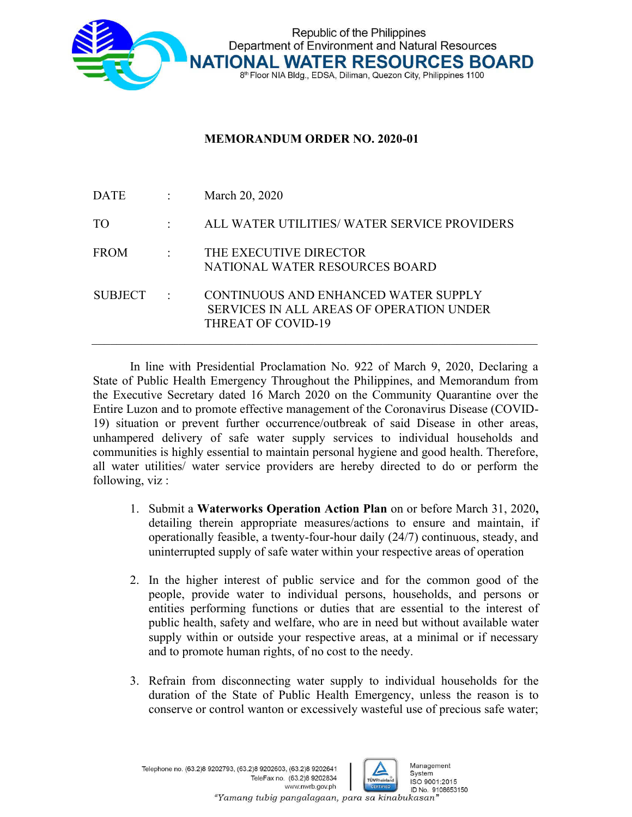

## **MEMORANDUM ORDER NO. 2020-01**

| DATE           | $\mathbb{R}^n$                                            | March 20, 2020                                                                                         |
|----------------|-----------------------------------------------------------|--------------------------------------------------------------------------------------------------------|
| TO             | $\mathcal{I}^{\text{max}}$ and $\mathcal{I}^{\text{max}}$ | ALL WATER UTILITIES/ WATER SERVICE PROVIDERS                                                           |
| FROM           |                                                           | THE EXECUTIVE DIRECTOR<br>NATIONAL WATER RESOURCES BOARD                                               |
| <b>SUBJECT</b> |                                                           | CONTINUOUS AND ENHANCED WATER SUPPLY<br>SERVICES IN ALL AREAS OF OPERATION UNDER<br>THREAT OF COVID-19 |

In line with Presidential Proclamation No. 922 of March 9, 2020, Declaring a State of Public Health Emergency Throughout the Philippines, and Memorandum from the Executive Secretary dated 16 March 2020 on the Community Quarantine over the Entire Luzon and to promote effective management of the Coronavirus Disease (COVID-19) situation or prevent further occurrence/outbreak of said Disease in other areas, unhampered delivery of safe water supply services to individual households and communities is highly essential to maintain personal hygiene and good health. Therefore, all water utilities/ water service providers are hereby directed to do or perform the following, viz :

- 1. Submit a **Waterworks Operation Action Plan** on or before March 31, 2020**,**  detailing therein appropriate measures/actions to ensure and maintain, if operationally feasible, a twenty-four-hour daily (24/7) continuous, steady, and uninterrupted supply of safe water within your respective areas of operation
- 2. In the higher interest of public service and for the common good of the people, provide water to individual persons, households, and persons or entities performing functions or duties that are essential to the interest of public health, safety and welfare, who are in need but without available water supply within or outside your respective areas, at a minimal or if necessary and to promote human rights, of no cost to the needy.
- 3. Refrain from disconnecting water supply to individual households for the duration of the State of Public Health Emergency, unless the reason is to conserve or control wanton or excessively wasteful use of precious safe water;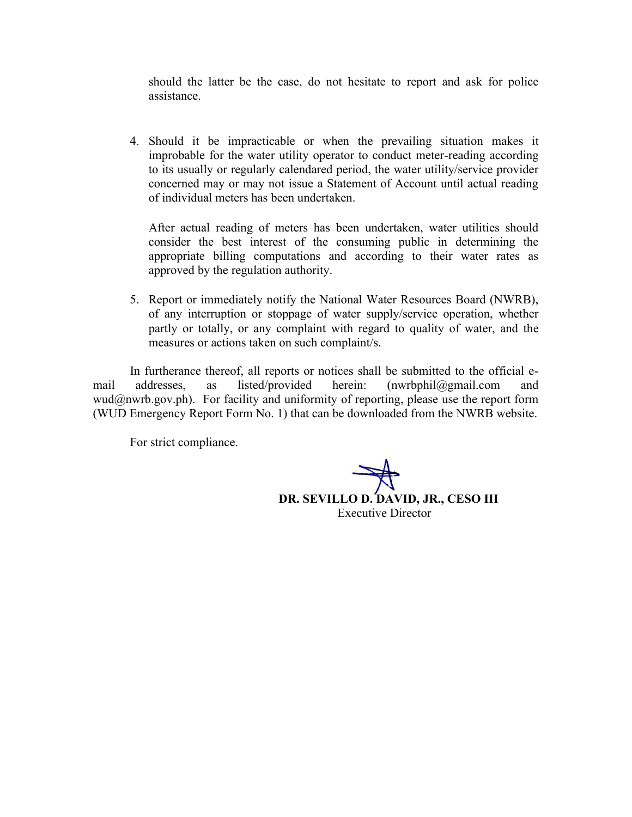should the latter be the case, do not hesitate to report and ask for police assistance.

4. Should it be impracticable or when the prevailing situation makes it improbable for the water utility operator to conduct meter-reading according to its usually or regularly calendared period, the water utility/service provider concerned may or may not issue a Statement of Account until actual reading of individual meters has been undertaken.

After actual reading of meters has been undertaken, water utilities should consider the best interest of the consuming public in determining the appropriate billing computations and according to their water rates as approved by the regulation authority.

5. Report or immediately notify the National Water Resources Board (NWRB), of any interruption or stoppage of water supply/service operation, whether partly or totally, or any complaint with regard to quality of water, and the measures or actions taken on such complaint/s.

In furtherance thereof, all reports or notices shall be submitted to the official email addresses, as listed/provided herein: (nwrbphil@gmail.com and  $wud@nwrb.gov.php$ . For facility and uniformity of reporting, please use the report form (WUD Emergency Report Form No. 1) that can be downloaded from the NWRB website.

For strict compliance.

**DR. SEVILLO D. DAVID, JR., CESO III** Executive Director